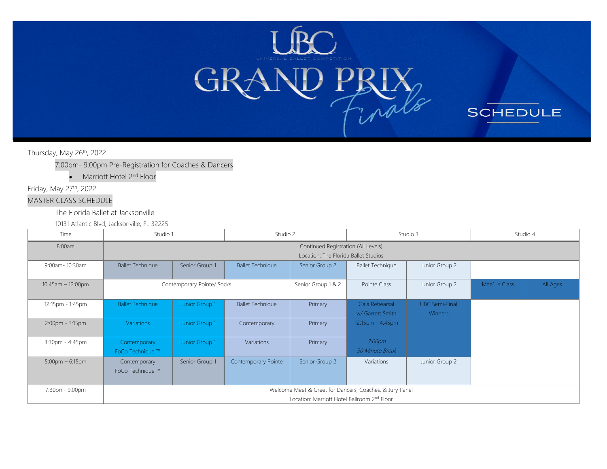

**SCHEDULE** 

Thursday, May 26<sup>th</sup>, 2022

7:00pm- 9:00pm Pre-Registration for Coaches & Dancers

• Marriott Hotel 2<sup>nd</sup> Floor

Friday, May 27th, 2022

### MASTER CLASS SCHEDULE

The Florida Ballet at Jacksonville

10131 Atlantic Blvd, Jacksonville, FL 32225

| Time                              | Studio 1                         |                                     | Studio 2                |                                             |                                                         | Studio 3                                |             | Studio 4 |
|-----------------------------------|----------------------------------|-------------------------------------|-------------------------|---------------------------------------------|---------------------------------------------------------|-----------------------------------------|-------------|----------|
| 8:00am                            |                                  | Continued Registration (All Levels) |                         |                                             |                                                         |                                         |             |          |
|                                   |                                  |                                     |                         | Location: The Florida Ballet Studios        |                                                         |                                         |             |          |
| 9:00am- 10:30am                   | <b>Ballet Technique</b>          | Senior Group 1                      | <b>Ballet Technique</b> | Senior Group 2                              | <b>Ballet Technique</b>                                 | Junior Group 2                          |             |          |
| $10:45am - 12:00pm$               |                                  | Contemporary Pointe/ Socks          |                         | Senior Group 1 & 2                          | Pointe Class                                            | Junior Group 2                          | Men's Class | All Ages |
| 12:15pm - 1:45pm                  | <b>Ballet Technique</b>          | Junior Group 1                      | <b>Ballet Technique</b> | Primary                                     | Gala Rehearsal<br>w/ Garrett Smith                      | <b>UBC Semi-Final</b><br><b>Winners</b> |             |          |
| 2:00pm - 3:15pm                   | <b>Variations</b>                | Junior Group 1                      | Contemporary            | Primary                                     | 12:15pm - 4:45pm                                        |                                         |             |          |
| $3:30$ pm - $4:45$ pm             | Contemporary<br>FoCo Technique ™ | Junior Group 1                      | Variations              | Primary                                     | 3:00 <sub>pm</sub><br><b>30 Minute Break</b>            |                                         |             |          |
| $5:00 \text{pm} - 6:15 \text{pm}$ | Contemporary<br>FoCo Technique ™ | Senior Group 1                      | Contemporary Pointe     | Senior Group 2                              | Variations                                              | Junior Group 2                          |             |          |
| 7:30pm-9:00pm                     |                                  |                                     |                         | Location: Marriott Hotel Ballroom 2nd Floor | Welcome Meet & Greet for Dancers, Coaches, & Jury Panel |                                         |             |          |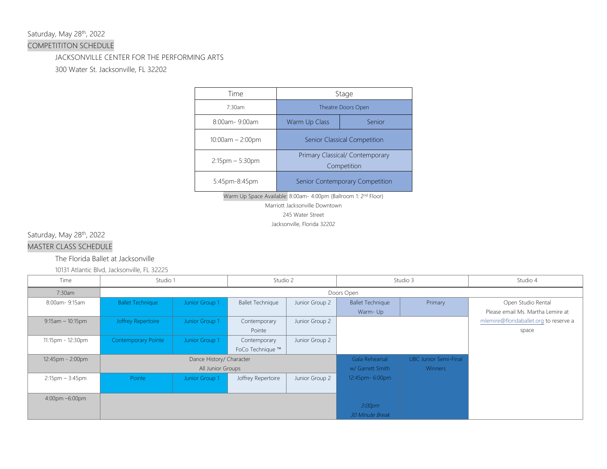### Saturday, May 28<sup>th</sup>, 2022

### COMPETITITON SCHEDULE

### JACKSONVILLE CENTER FOR THE PERFORMING ARTS

300 Water St. Jacksonville, FL 32202

| <b>Time</b>          | Stage<br>Theatre Doors Open                    |                                 |  |
|----------------------|------------------------------------------------|---------------------------------|--|
| 7:30am               |                                                |                                 |  |
| 8:00am-9:00am        | Warm Up Class                                  | Senior                          |  |
| $10:00am - 2:00pm$   | Senior Classical Competition                   |                                 |  |
| $2:15$ pm $-5:30$ pm | Primary Classical/ Contemporary<br>Competition |                                 |  |
| 5:45pm-8:45pm        |                                                | Senior Contemporary Competition |  |

Warm Up Space Available: 8:00am- 4:00pm (Ballroom 1: 2<sup>nd</sup> Floor) Marriott Jacksonville Downtown

245 Water Street

Jacksonville, Florida 32202

Saturday, May 28<sup>th</sup>, 2022

### MASTER CLASS SCHEDULE

### The Florida Ballet at Jacksonville

10131 Atlantic Blvd, Jacksonville, FL 32225

| Time                              | Studio 1                 |                | Studio 2                |                | Studio 3                |                              | Studio 4                               |
|-----------------------------------|--------------------------|----------------|-------------------------|----------------|-------------------------|------------------------------|----------------------------------------|
| 7:30am                            |                          |                |                         | Doors Open     |                         |                              |                                        |
| 8:00am-9:15am                     | <b>Ballet Technique</b>  | Junior Group 1 | <b>Ballet Technique</b> | Junior Group 2 | <b>Ballet Technique</b> | Primary                      | Open Studio Rental                     |
|                                   |                          |                |                         |                | Warm-Up                 |                              | Please email Ms. Martha Lemire at      |
| $9:15am - 10:15pm$                | Joffrey Repertoire       | Junior Group 1 | Contemporary            | Junior Group 2 |                         |                              | mlemire@floridaballet.org to reserve a |
|                                   |                          |                | Pointe                  |                |                         |                              | space                                  |
| 11:15pm - 12:30pm                 | Contemporary Pointe      | Junior Group 1 | Contemporary            | Junior Group 2 |                         |                              |                                        |
|                                   |                          |                | FoCo Technique ™        |                |                         |                              |                                        |
| 12:45pm - 2:00pm                  | Dance History/ Character |                |                         |                | Gala Rehearsal          | <b>UBC Junior Semi-Final</b> |                                        |
|                                   | All Junior Groups        |                |                         |                | w/ Garrett Smith        | <b>Winners</b>               |                                        |
| $2:15 \text{pm} - 3:45 \text{pm}$ | Pointe                   | Junior Group 1 | Joffrey Repertoire      | Junior Group 2 | 12:45pm- 6:00pm         |                              |                                        |
|                                   |                          |                |                         |                |                         |                              |                                        |
| 4:00pm -6:00pm                    |                          |                |                         |                |                         |                              |                                        |
|                                   |                          |                |                         |                | 3:00pm                  |                              |                                        |
|                                   |                          |                |                         |                | <b>30 Minute Break</b>  |                              |                                        |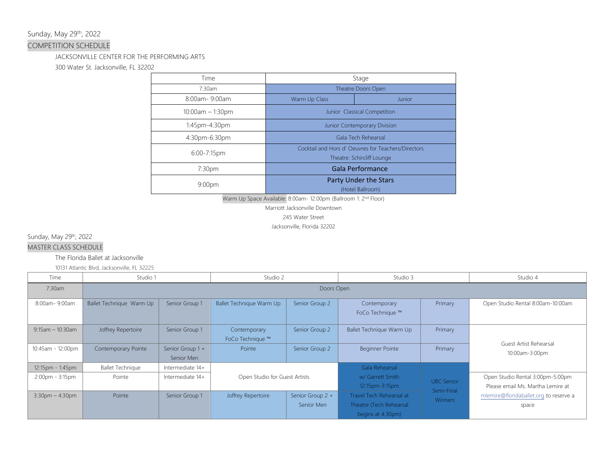### Sunday, May 29th, 2022

### COMPETITION SCHEDULE

### JACKSONVILLE CENTER FOR THE PERFORMING ARTS

300 Water St. Jacksonville, FL 32202

| Time               | Stage                                                                             |                                           |  |
|--------------------|-----------------------------------------------------------------------------------|-------------------------------------------|--|
| 7:30am             | Theatre Doors Open                                                                |                                           |  |
| 8:00am-9:00am      | Warm Up Class                                                                     | Junior                                    |  |
| $10:00am - 1:30pm$ |                                                                                   | Junior Classical Competition              |  |
| 1:45pm-4:30pm      | Junior Contemporary Division                                                      |                                           |  |
| 4:30pm-6:30pm      |                                                                                   | Gala Tech Rehearsal                       |  |
| 6:00-7:15pm        | Cocktail and Hors d' Oeuvres for Teachers/Directors<br>Theatre: Schircliff Lounge |                                           |  |
| 7:30pm             |                                                                                   | Gala Performance                          |  |
| 9:00 <sub>pm</sub> |                                                                                   | Party Under the Stars<br>(Hotel Ballroom) |  |

Warm Up Space Available: 8:00am- 12:00pm (Ballroom 1: 2nd Floor)

Marriott Jacksonville Downtown

245 Water Street

Jacksonville, Florida 32202

Sunday, May 29<sup>th</sup>, 2022

MASTER CLASS SCHEDULE

The Florida Ballet at Jacksonville

10131 Atlantic Blvd, Jacksonville, FL 32225

| Time                 | Studio 1                 |                                | Studio 2                         |                                | Studio 3                                                                 |                              | Studio 4                                                              |
|----------------------|--------------------------|--------------------------------|----------------------------------|--------------------------------|--------------------------------------------------------------------------|------------------------------|-----------------------------------------------------------------------|
| 7:30am               | Doors Open               |                                |                                  |                                |                                                                          |                              |                                                                       |
| 8:00am-9:00am        | Ballet Technique Warm Up | Senior Group 1                 | Ballet Technique Warm Up         | Senior Group 2                 | Contemporary<br>FoCo Technique ™                                         | Primary                      | Open Studio Rental 8:00am-10:00am                                     |
| $9:15$ am - 10:30am  | Joffrey Repertoire       | Senior Group 1                 | Contemporary<br>FoCo Technique ™ | Senior Group 2                 | Ballet Technique Warm Up                                                 | Primary                      |                                                                       |
| 10:45am - 12:00pm    | Contemporary Pointe      | Senior Group 1 +<br>Senior Men | Pointe                           | Senior Group 2                 | <b>Beginner Pointe</b>                                                   | Primary                      | Guest Artist Rehearsal<br>10:00am-3:00pm                              |
| 12:15pm - 1:45pm     | <b>Ballet Technique</b>  | Intermediate 14+               |                                  |                                | Gala Rehearsal                                                           |                              |                                                                       |
| 2:00pm - 3:15pm      | Pointe                   | Intermediate 14+               | Open Studio for Guest Artists    |                                | w/ Garrett Smith<br>12:15pm-3:15pm                                       | <b>UBC</b> Senior            | Open Studio Rental 3:00pm-5:00pm<br>Please email Ms. Martha Lemire at |
| $3:30$ pm $-4:30$ pm | Pointe                   | Senior Group 1                 | Joffrey Repertoire               | Senior Group 2 +<br>Senior Men | Travel Tech Rehearsal at<br>Theatre (Tech Rehearsal<br>begins at 4:30pm) | Semi-Final<br><b>Winners</b> | mlemire@floridaballet.org to reserve a<br>space                       |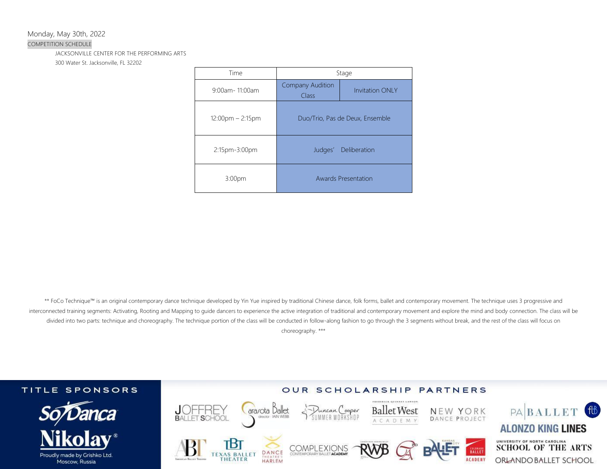Monday, May 30th, 2022

#### COMPETITION SCHEDULE

JACKSONVILLE CENTER FOR THE PERFORMING ARTS

300 Water St. Jacksonville, FL 32202

| Time              | Stage                            |                                 |  |
|-------------------|----------------------------------|---------------------------------|--|
| $9:00$ am-11:00am | <b>Company Audition</b><br>Class | <b>Invitation ONIY</b>          |  |
| 12:00pm - 2:15pm  |                                  | Duo/Trio, Pas de Deux, Ensemble |  |
| 2:15pm-3:00pm     | Judges'                          | Deliberation                    |  |
| 3:00pm            |                                  | <b>Awards Presentation</b>      |  |

\*\* FoCo Technique™ is an original contemporary dance technique developed by Yin Yue inspired by traditional Chinese dance, folk forms, ballet and contemporary movement. The technique uses 3 progressive and interconnected training segments: Activating, Rooting and Mapping to guide dancers to experience the active integration of traditional and contemporary movement and explore the mind and body connection. The class will be divided into two parts: technique and choreography. The technique portion of the class will be conducted in follow-along fashion to go through the 3 segments without break, and the rest of the class will focus on choreography. \*\*\*

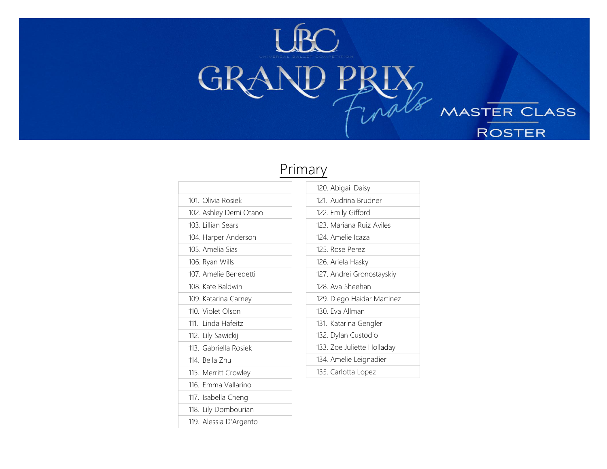

# Primary

| 101. Olivia Rosiek     |  |
|------------------------|--|
| 102. Ashley Demi Otano |  |
| 103. Lillian Sears     |  |
| 104. Harper Anderson   |  |
| 105. Amelia Sias       |  |
| 106. Ryan Wills        |  |
| 107. Amelie Benedetti  |  |
| 108. Kate Baldwin      |  |
| 109. Katarina Carney   |  |
| 110. Violet Olson      |  |
| 111. Linda Hafeitz     |  |
| 112. Lily Sawickij     |  |
| 113. Gabriella Rosiek  |  |
| 114. Bella Zhu         |  |
| 115. Merritt Crowley   |  |
| 116. Emma Vallarino    |  |
| 117. Isabella Cheng    |  |
| 118. Lily Dombourian   |  |
| 119. Alessia D'Argento |  |

| 120. Abigail Daisy         |
|----------------------------|
| 121. Audrina Brudner       |
| 122. Emily Gifford         |
| 123. Mariana Ruiz Aviles   |
| 124. Amelie Icaza          |
| 125. Rose Perez            |
| 126. Ariela Hasky          |
| 127. Andrei Gronostayskiy  |
| 128. Ava Sheehan           |
| 129. Diego Haidar Martinez |
| 130 Eva Allman             |
| 131. Katarina Gengler      |
| 132. Dylan Custodio        |
| 133. Zoe Juliette Holladay |
| 134. Amelie Leignadier     |
| 135. Carlotta Lopez        |

MASTER CLASS

**ROSTER**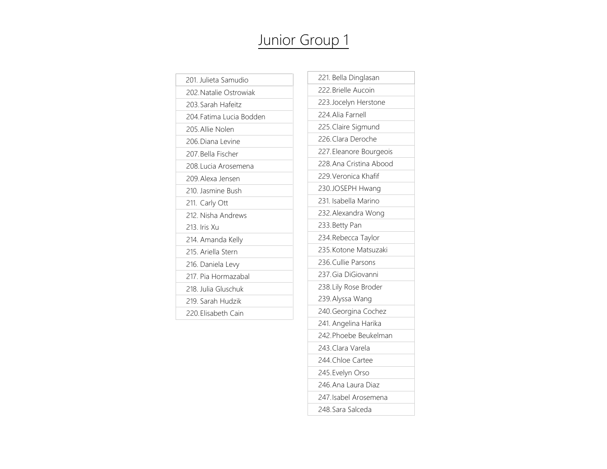# Junior Group 1

| 201. Julieta Samudio    |
|-------------------------|
| 202 Natalie Ostrowiak   |
| 203. Sarah Hafeitz      |
| 204 Fatima Lucia Bodden |
| 205. Allie Nolen        |
| 206 Diana Levine        |
| 207 Bella Fischer       |
| 208. Lucia Arosemena    |
| 209 Alexa Jensen        |
| 210. Jasmine Bush       |
| 211. Carly Ott          |
| 212. Nisha Andrews      |
| 213 Iris Xu             |
| 214. Amanda Kelly       |
| 215 Ariella Stern       |
| 216. Daniela Levy       |
| 217. Pia Hormazabal     |
| 218 Julia Gluschuk      |
| 219 Sarah Hudzik        |
| 220 Elisabeth Cain      |
|                         |

| 221. Bella Dinglasan    |
|-------------------------|
| 222. Brielle Aucoin     |
| 223. Jocelyn Herstone   |
| 224. Alia Farnell       |
| 225. Claire Sigmund     |
| 226. Clara Deroche      |
| 227. Eleanore Bourgeois |
| 228. Ana Cristina Abood |
| 229. Veronica Khafif    |
| 230.JOSEPH Hwang        |
| 231. Isabella Marino    |
| 232. Alexandra Wong     |
| 233. Betty Pan          |
| 234. Rebecca Taylor     |
| 235. Kotone Matsuzaki   |
| 236. Cullie Parsons     |
| 237. Gia DiGiovanni     |
| 238. Lily Rose Broder   |
| 239. Alyssa Wang        |
| 240. Georgina Cochez    |
| 241. Angelina Harika    |
| 242. Phoebe Beukelman   |
| 243. Clara Varela       |
| 244. Chloe Cartee       |
| 245. Evelyn Orso        |
| 246. Ana Laura Diaz     |
| 247. Isabel Arosemena   |
| 248. Sara Salceda       |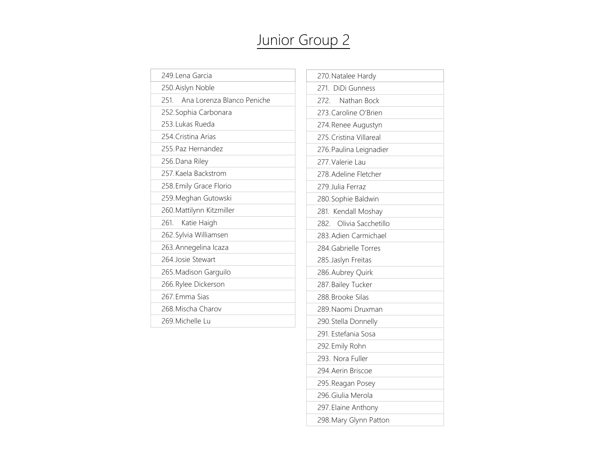# Junior Group 2

| 249.Lena Garcia                   |
|-----------------------------------|
| 250. Aislyn Noble                 |
| Ana Lorenza Blanco Peniche<br>251 |
| 252. Sophia Carbonara             |
| 253. Lukas Rueda                  |
| 254 Cristina Arias                |
| 255 Paz Hernandez                 |
| 256. Dana Riley                   |
| 257 Kaela Backstrom               |
| 258. Emily Grace Florio           |
| 259. Meghan Gutowski              |
| 260. Mattilynn Kitzmiller         |
| 261.<br>Katie Haigh               |
| 262. Sylvia Williamsen            |
| 263. Annegelina Icaza             |
| 264. Josie Stewart                |
| 265. Madison Garguilo             |
| 266. Rylee Dickerson              |
| 267 Emma Sias                     |
| 268 Mischa Charov                 |
| 269. Michelle Lu                  |
|                                   |

| 270. Natalee Hardy         |
|----------------------------|
| 271. DiDi Gunness          |
| 272.<br>Nathan Bock        |
| 273. Caroline O'Brien      |
| 274. Renee Augustyn        |
| 275. Cristina Villareal    |
| 276. Paulina Leignadier    |
| 277. Valerie Lau           |
| 278. Adeline Fletcher      |
| 279. Julia Ferraz          |
| 280. Sophie Baldwin        |
| 281. Kendall Moshay        |
| Olivia Sacchetillo<br>282. |
| 283. Adien Carmichael      |
| 284. Gabrielle Torres      |
| 285. Jaslyn Freitas        |
| 286. Aubrey Quirk          |
| 287. Bailey Tucker         |
| 288. Brooke Silas          |
| 289. Naomi Druxman         |
| 290. Stella Donnelly       |
| 291. Estefania Sosa        |
| 292. Emily Rohn            |
| 293. Nora Fuller           |
| 294. Aerin Briscoe         |
| 295. Reagan Posey          |
| 296. Giulia Merola         |
| 297. Elaine Anthony        |
| 298. Mary Glynn Patton     |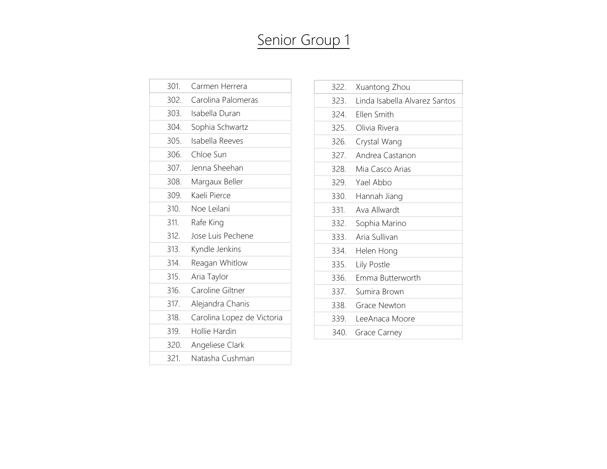## Senior Group 1

| 301. | Carmen Herrera             |
|------|----------------------------|
| 302. | Carolina Palomeras         |
| 303. | Isabella Duran             |
| 304. | Sophia Schwartz            |
| 305. | Isabella Reeves            |
| 306. | Chloe Sun                  |
| 307. | Jenna Sheehan              |
| 308. | Margaux Beller             |
| 309. | Kaeli Pierce               |
| 310. | Noe Leilani                |
| 311. | Rafe King                  |
| 312. | Jose Luis Pechene          |
| 313. | Kyndle Jenkins             |
| 314. | Reagan Whitlow             |
| 315. | Aria Taylor                |
| 316. | Caroline Giltner           |
| 317. | Alejandra Chanis           |
| 318. | Carolina Lopez de Victoria |
| 319. | Hollie Hardin              |
| 320. | Angeliese Clark            |
| 321. | Natasha Cushman            |

| 322. | Xuantong Zhou                 |
|------|-------------------------------|
| 323. | Linda Isabella Alvarez Santos |
|      | 324. Ellen Smith              |
|      | 325. Olivia Rivera            |
| 326. | Crystal Wang                  |
| 327. | Andrea Castanon               |
|      | 328. Mia Casco Arias          |
|      | 329. Yael Abbo                |
|      | 330. Hannah Jiang             |
| 331. | Ava Allwardt                  |
|      | 332. Sophia Marino            |
|      | 333. Aria Sullivan            |
|      | 334. Helen Hong               |
| 335. | Lily Postle                   |
| 336. | Emma Butterworth              |
|      | 337. Sumira Brown             |
|      | 338. Grace Newton             |
|      | 339. LeeAnaca Moore           |
|      | 340. Grace Carney             |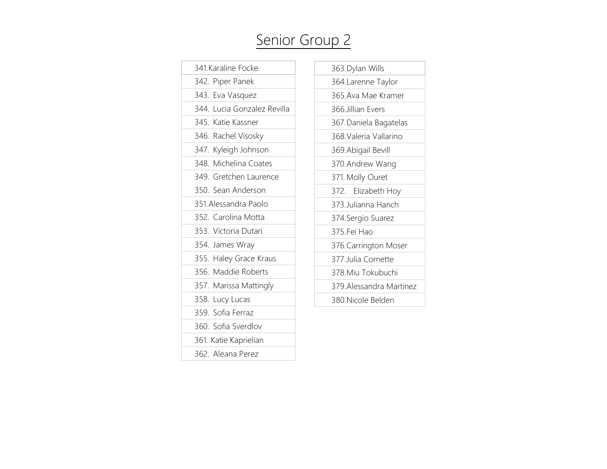# Senior Group 2

| 341.Karaline Focke          |
|-----------------------------|
| 342. Piper Panek            |
| 343. Eva Vasquez            |
| 344. Lucia Gonzalez Revilla |
| 345. Katie Kassner          |
| 346. Rachel Visosky         |
| 347. Kyleigh Johnson        |
| 348. Michelina Coates       |
| 349. Gretchen Laurence      |
| 350. Sean Anderson          |
| 351. Alessandra Paolo       |
| 352. Carolina Motta         |
| 353. Victoria Dutari        |
| 354. James Wray             |
| 355. Haley Grace Kraus      |
| 356. Maddie Roberts         |
| 357. Marissa Mattingly      |
| 358. Lucy Lucas             |
| 359. Sofia Ferraz           |
| 360. Sofia Sverdlov         |
| 361. Katie Kaprielian       |
| 362. Aleana Perez           |

| 363. Dylan Wills        |
|-------------------------|
| 364.Larenne Taylor      |
| 365.Ava Mae Kramer      |
| 366 Jillian Evers       |
| 367. Daniela Bagatelas  |
| 368.Valeria Vallarino   |
| 369. Abigail Bevill     |
| 370. Andrew Wang        |
| 371. Molly Ouret        |
| 372. Elizabeth Hoy      |
| 373. Julianna Hanch     |
| 374. Sergio Suarez      |
| 375.Fei Hao             |
| 376. Carrington Moser   |
| 377. Julia Cornette     |
| 378. Miu Tokubuchi      |
| 379.Alessandra Martinez |
| 380 Nicole Belden       |
|                         |